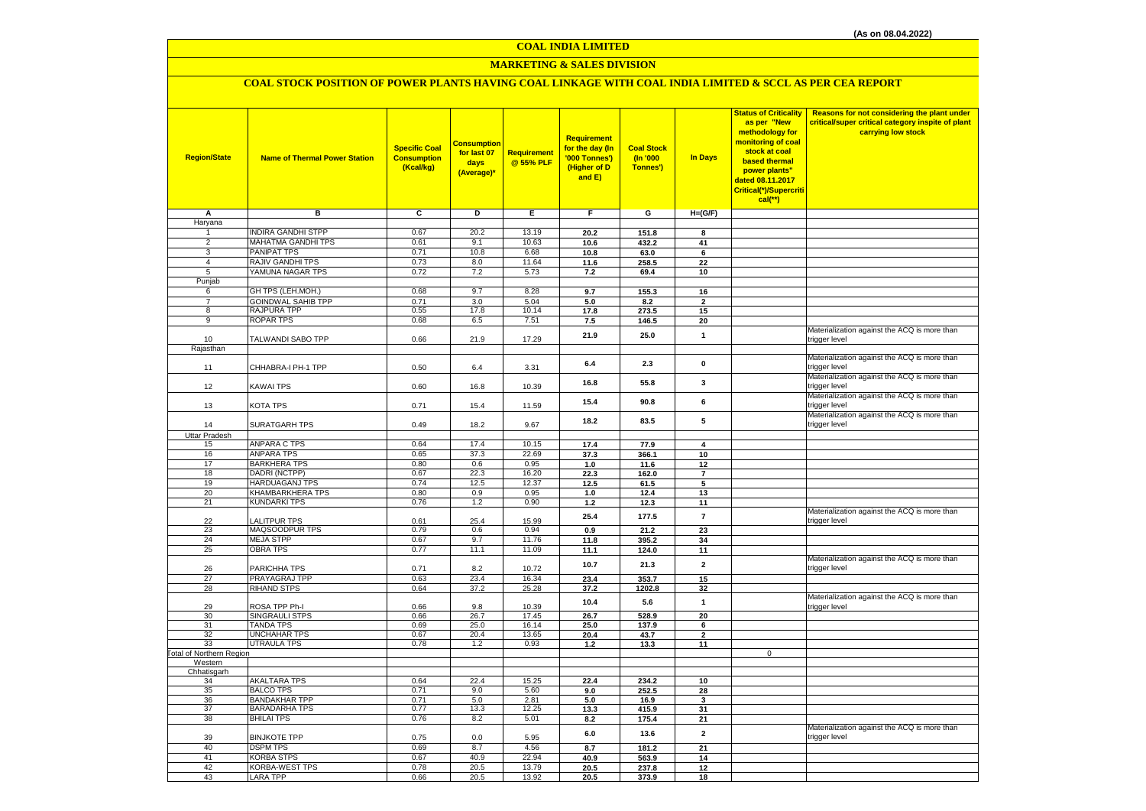# **MARKETING & SALES DIVISION**

# **COAL STOCK POSITION OF POWER PLANTS HAVING COAL LINKAGE WITH COAL INDIA LIMITED & SCCL AS PER CEA REPORT**

| <b>Region/State</b>             | <b>Name of Thermal Power Station</b>    | <b>Specific Coal</b><br><b>Consumption</b><br>(Kcal/kg) | <b>Consumption</b><br>for last 07<br>days<br>(Average)* | Requirement<br>@ 55% PLF | <b>Requirement</b><br>for the day (In<br>'000 Tonnes')<br>(Higher of D<br>and E) | <b>Coal Stock</b><br>(In '000<br>Tonnes') | In Days              | <b>Status of Criticality</b><br>as per "New<br>methodology for<br>monitoring of coal<br>stock at coal<br>based thermal<br>power plants"<br>dated 08.11.2017<br>Critical(*)/Supercriti<br>$cal$ (**) | Reasons for not considering the plant under<br>critical/super critical category inspite of plant<br>carrying low stock |
|---------------------------------|-----------------------------------------|---------------------------------------------------------|---------------------------------------------------------|--------------------------|----------------------------------------------------------------------------------|-------------------------------------------|----------------------|-----------------------------------------------------------------------------------------------------------------------------------------------------------------------------------------------------|------------------------------------------------------------------------------------------------------------------------|
| A                               | в                                       | c                                                       | D                                                       | E.                       | F.                                                                               | G                                         | $H=(G/F)$            |                                                                                                                                                                                                     |                                                                                                                        |
| Haryana                         |                                         |                                                         |                                                         |                          |                                                                                  |                                           |                      |                                                                                                                                                                                                     |                                                                                                                        |
| -1                              | <b>INDIRA GANDHI STPP</b>               | 0.67                                                    | 20.2                                                    | 13.19                    | 20.2                                                                             | 151.8                                     | 8                    |                                                                                                                                                                                                     |                                                                                                                        |
| $\overline{2}$<br>3             | <b>MAHATMA GANDHI TPS</b>               | 0.61                                                    | 9.1                                                     | 10.63                    | 10.6                                                                             | 432.2                                     | 41                   |                                                                                                                                                                                                     |                                                                                                                        |
| $\overline{4}$                  | <b>PANIPAT TPS</b><br>RAJIV GANDHI TPS  | 0.71<br>0.73                                            | 10.8<br>8.0                                             | 6.68<br>11.64            | 10.8                                                                             | 63.0<br>258.5                             | 6                    |                                                                                                                                                                                                     |                                                                                                                        |
| 5                               | YAMUNA NAGAR TPS                        | 0.72                                                    | 7.2                                                     | 5.73                     | 11.6<br>7.2                                                                      | 69.4                                      | 22<br>10             |                                                                                                                                                                                                     |                                                                                                                        |
| Punjab                          |                                         |                                                         |                                                         |                          |                                                                                  |                                           |                      |                                                                                                                                                                                                     |                                                                                                                        |
| 6                               | GH TPS (LEH.MOH.)                       | 0.68                                                    | 9.7                                                     | 8.28                     | 9.7                                                                              | 155.3                                     | 16                   |                                                                                                                                                                                                     |                                                                                                                        |
| $\overline{7}$                  | <b>GOINDWAL SAHIB TPP</b>               | 0.71                                                    | 3.0                                                     | 5.04                     | 5.0                                                                              | 8.2                                       | $\overline{2}$       |                                                                                                                                                                                                     |                                                                                                                        |
| 8                               | RAJPURA TPP                             | 0.55                                                    | 17.8                                                    | 10.14                    | 17.8                                                                             | 273.5                                     | 15                   |                                                                                                                                                                                                     |                                                                                                                        |
| $_{9}$                          | ROPAR TPS                               | 0.68                                                    | 6.5                                                     | 7.51                     | 7.5                                                                              | 146.5                                     | 20                   |                                                                                                                                                                                                     |                                                                                                                        |
|                                 |                                         |                                                         |                                                         |                          | 21.9                                                                             | 25.0                                      | $\mathbf{1}$         |                                                                                                                                                                                                     | Materialization against the ACQ is more than                                                                           |
| 10                              | TALWANDI SABO TPP                       | 0.66                                                    | 21.9                                                    | 17.29                    |                                                                                  |                                           |                      |                                                                                                                                                                                                     | trigger level                                                                                                          |
| Rajasthan                       |                                         |                                                         |                                                         |                          |                                                                                  |                                           |                      |                                                                                                                                                                                                     | Materialization against the ACQ is more than                                                                           |
| 11                              | CHHABRA-I PH-1 TPP                      | 0.50                                                    |                                                         | 3.31                     | 6.4                                                                              | 2.3                                       | $\pmb{0}$            |                                                                                                                                                                                                     | trigger level                                                                                                          |
|                                 |                                         |                                                         | 6.4                                                     |                          |                                                                                  |                                           |                      |                                                                                                                                                                                                     | Materialization against the ACQ is more than                                                                           |
| 12                              | KAWAI TPS                               | 0.60                                                    | 16.8                                                    | 10.39                    | 16.8                                                                             | 55.8                                      | $\mathbf{3}$         |                                                                                                                                                                                                     | trigger level                                                                                                          |
|                                 |                                         |                                                         |                                                         |                          |                                                                                  |                                           |                      |                                                                                                                                                                                                     | Materialization against the ACQ is more than                                                                           |
| 13                              | KOTA TPS                                | 0.71                                                    | 15.4                                                    | 11.59                    | 15.4                                                                             | 90.8                                      | 6                    |                                                                                                                                                                                                     | trigger level                                                                                                          |
|                                 |                                         |                                                         |                                                         |                          | 18.2                                                                             | 83.5                                      | 5                    |                                                                                                                                                                                                     | Materialization against the ACQ is more than                                                                           |
| 14                              | SURATGARH TPS                           | 0.49                                                    | 18.2                                                    | 9.67                     |                                                                                  |                                           |                      |                                                                                                                                                                                                     | trigger level                                                                                                          |
| Uttar Pradesh                   |                                         |                                                         |                                                         |                          |                                                                                  |                                           |                      |                                                                                                                                                                                                     |                                                                                                                        |
| 15                              | <b>ANPARA C TPS</b>                     | 0.64                                                    | 17.4                                                    | 10.15                    | 17.4                                                                             | 77.9                                      | 4                    |                                                                                                                                                                                                     |                                                                                                                        |
| 16                              | <b>ANPARA TPS</b>                       | 0.65                                                    | 37.3                                                    | 22.69                    | 37.3                                                                             | 366.1                                     | 10                   |                                                                                                                                                                                                     |                                                                                                                        |
| 17<br>18                        | <b>BARKHERA TPS</b><br>DADRI (NCTPP)    | 0.80<br>0.67                                            | 0.6<br>22.3                                             | 0.95<br>16.20            | 1.0<br>22.3                                                                      | 11.6<br>162.0                             | 12<br>$\overline{7}$ |                                                                                                                                                                                                     |                                                                                                                        |
| 19                              | HARDUAGANJ TPS                          | 0.74                                                    | 12.5                                                    | 12.37                    | 12.5                                                                             | 61.5                                      | 5                    |                                                                                                                                                                                                     |                                                                                                                        |
| 20                              | KHAMBARKHERA TPS                        | 0.80                                                    | 0.9                                                     | 0.95                     | $1.0$                                                                            | 12.4                                      | 13                   |                                                                                                                                                                                                     |                                                                                                                        |
| 21                              | <b>KUNDARKI TPS</b>                     | 0.76                                                    | 1.2                                                     | 0.90                     | 1.2                                                                              | 12.3                                      | 11                   |                                                                                                                                                                                                     |                                                                                                                        |
|                                 |                                         |                                                         |                                                         |                          | 25.4                                                                             | 177.5                                     | $\overline{7}$       |                                                                                                                                                                                                     | Materialization against the ACQ is more than                                                                           |
| 22                              | <b>ALITPUR TPS</b>                      | 0.61                                                    | 25.4                                                    | 15.99                    |                                                                                  |                                           |                      |                                                                                                                                                                                                     | trigger level                                                                                                          |
| 23                              | MAQSOODPUR TPS                          | 0.79                                                    | 0.6                                                     | 0.94                     | 0.9                                                                              | 21.2                                      | 23                   |                                                                                                                                                                                                     |                                                                                                                        |
| 24                              | <b>MEJA STPP</b>                        | 0.67                                                    | 9.7                                                     | 11.76                    | 11.8                                                                             | 395.2                                     | 34                   |                                                                                                                                                                                                     |                                                                                                                        |
| 25                              | <b>OBRA TPS</b>                         | 0.77                                                    | 11.1                                                    | 11.09                    | 11.1                                                                             | 124.0                                     | 11                   |                                                                                                                                                                                                     | Materialization against the ACQ is more than                                                                           |
| 26                              | PARICHHA TPS                            | 0.71                                                    | 8.2                                                     | 10.72                    | 10.7                                                                             | 21.3                                      | $\overline{2}$       |                                                                                                                                                                                                     | trigger level                                                                                                          |
| 27                              | <b>PRAYAGRAJ TPP</b>                    | 0.63                                                    | 23.4                                                    | 16.34                    | 23.4                                                                             | 353.7                                     | 15                   |                                                                                                                                                                                                     |                                                                                                                        |
| 28                              | <b>RIHAND STPS</b>                      | 0.64                                                    | 37.2                                                    | 25.28                    | 37.2                                                                             | 1202.8                                    | 32                   |                                                                                                                                                                                                     |                                                                                                                        |
|                                 |                                         |                                                         |                                                         |                          | 10.4                                                                             | 5.6                                       | $\mathbf{1}$         |                                                                                                                                                                                                     | Materialization against the ACQ is more than                                                                           |
| 29                              | ROSA TPP Ph-I                           | 0.66                                                    | 9.8                                                     | 10.39                    |                                                                                  |                                           |                      |                                                                                                                                                                                                     | trigger level                                                                                                          |
| 30                              | <b>SINGRAULI STPS</b>                   | 0.66                                                    | 26.7                                                    | 17.45                    | 26.7                                                                             | 528.9                                     | 20                   |                                                                                                                                                                                                     |                                                                                                                        |
| 31<br>32                        | <b>TANDA TPS</b><br><b>UNCHAHAR TPS</b> | 0.69<br>0.67                                            | 25.0<br>20.4                                            | 16.14<br>13.65           | 25.0<br>20.4                                                                     | 137.9                                     | 6<br>$\overline{2}$  |                                                                                                                                                                                                     |                                                                                                                        |
| 33                              | <b>UTRAULA TPS</b>                      | 0.78                                                    | 1.2                                                     | 0.93                     | $1.2$                                                                            | 43.7<br>13.3                              | 11                   |                                                                                                                                                                                                     |                                                                                                                        |
| <b>Total of Northern Region</b> |                                         |                                                         |                                                         |                          |                                                                                  |                                           |                      | $\mathsf 0$                                                                                                                                                                                         |                                                                                                                        |
| Western                         |                                         |                                                         |                                                         |                          |                                                                                  |                                           |                      |                                                                                                                                                                                                     |                                                                                                                        |
| Chhatisgarh                     |                                         |                                                         |                                                         |                          |                                                                                  |                                           |                      |                                                                                                                                                                                                     |                                                                                                                        |
| 34                              | <b>AKALTARA TPS</b>                     | 0.64                                                    | 22.4                                                    | 15.25                    | 22.4                                                                             | 234.2                                     | 10                   |                                                                                                                                                                                                     |                                                                                                                        |
| 35                              | <b>BALCO TPS</b>                        | 0.71                                                    | 9.0                                                     | 5.60                     | 9.0                                                                              | 252.5                                     | 28                   |                                                                                                                                                                                                     |                                                                                                                        |
| 36                              | <b>BANDAKHAR TPP</b>                    | 0.71                                                    | 5.0                                                     | 2.81                     | 5.0                                                                              | 16.9                                      | 3                    |                                                                                                                                                                                                     |                                                                                                                        |
| 37<br>38                        | BARADARHA TPS<br><b>BHILAI TPS</b>      | 0.77<br>0.76                                            | 13.3<br>8.2                                             | 12.25<br>5.01            | 13.3<br>8.2                                                                      | 415.9<br>175.4                            | 31<br>21             |                                                                                                                                                                                                     |                                                                                                                        |
|                                 |                                         |                                                         |                                                         |                          |                                                                                  |                                           |                      |                                                                                                                                                                                                     | Materialization against the ACQ is more than                                                                           |
| 39                              | <b>BINJKOTE TPP</b>                     | 0.75                                                    | 0.0                                                     | 5.95                     | 6.0                                                                              | 13.6                                      | $\overline{2}$       |                                                                                                                                                                                                     | trigger level                                                                                                          |
| 40                              | <b>DSPM TPS</b>                         | 0.69                                                    | 8.7                                                     | 4.56                     | 8.7                                                                              | 181.2                                     | 21                   |                                                                                                                                                                                                     |                                                                                                                        |
| 41                              | <b>KORBA STPS</b>                       | 0.67                                                    | 40.9                                                    | 22.94                    | 40.9                                                                             | 563.9                                     | 14                   |                                                                                                                                                                                                     |                                                                                                                        |
| 42                              | KORBA-WEST TPS                          | 0.78                                                    | 20.5                                                    | 13.79                    | 20.5                                                                             | 237.8                                     | 12                   |                                                                                                                                                                                                     |                                                                                                                        |
| 43                              | <b>LARA TPP</b>                         | 0.66                                                    | 20.5                                                    | 13.92                    | 20.5                                                                             | 373.9                                     | 18                   |                                                                                                                                                                                                     |                                                                                                                        |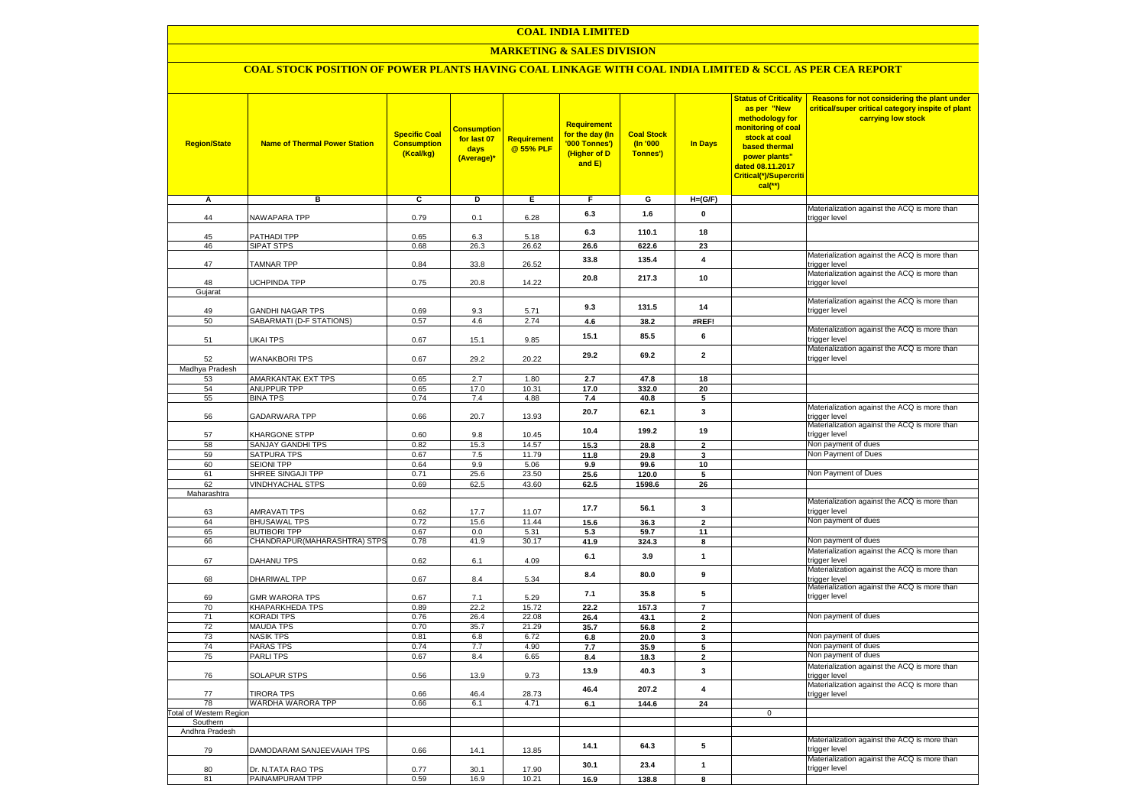### **MARKETING & SALES DIVISION**

### **COAL STOCK POSITION OF POWER PLANTS HAVING COAL LINKAGE WITH COAL INDIA LIMITED & SCCL AS PER CEA REPORT**

| <b>Region/State</b>                | <b>Name of Thermal Power Station</b>       | <b>Specific Coal</b><br><b>Consumption</b><br>(Kcal/kg) | <b>Consumption</b><br>for last 07<br>days<br>(Average)* | <b>Requirement</b><br>@ 55% PLF | Requirement<br>for the day (In<br>'000 Tonnes')<br>(Higher of D<br>and E) | <b>Coal Stock</b><br>$($ ln '000<br>Tonnes') | <b>In Days</b>                   | <b>Status of Criticality</b><br>as per "New<br>methodology for<br>monitoring of coal<br>stock at coal<br>based thermal<br>power plants"<br>dated 08.11.2017<br>Critical(*)/Supercriti<br>$cal$ (**) | Reasons for not considering the plant under<br>critical/super critical category inspite of plant<br>carrying low stock |
|------------------------------------|--------------------------------------------|---------------------------------------------------------|---------------------------------------------------------|---------------------------------|---------------------------------------------------------------------------|----------------------------------------------|----------------------------------|-----------------------------------------------------------------------------------------------------------------------------------------------------------------------------------------------------|------------------------------------------------------------------------------------------------------------------------|
| Α                                  | в                                          | С                                                       | D                                                       | Е                               | F.                                                                        | G                                            | $H=(G/F)$                        |                                                                                                                                                                                                     |                                                                                                                        |
| 44                                 | <b>VAWAPARA TPP</b>                        | 0.79                                                    | 0.1                                                     | 6.28                            | 6.3                                                                       | 1.6                                          | 0                                |                                                                                                                                                                                                     | Materialization against the ACQ is more than<br>trigger level                                                          |
| 45                                 | <b>PATHADI TPP</b>                         | 0.65                                                    |                                                         | 5.18                            | 6.3                                                                       | 110.1                                        | 18                               |                                                                                                                                                                                                     |                                                                                                                        |
| 46                                 | SIPAT STPS                                 | 0.68                                                    | 6.3<br>26.3                                             | 26.62                           | 26.6                                                                      | 622.6                                        | 23                               |                                                                                                                                                                                                     |                                                                                                                        |
| 47                                 | <b>TAMNAR TPP</b>                          | 0.84                                                    | 33.8                                                    | 26.52                           | 33.8                                                                      | 135.4                                        | 4                                |                                                                                                                                                                                                     | Materialization against the ACQ is more than<br>trigger level                                                          |
|                                    |                                            |                                                         |                                                         |                                 | 20.8                                                                      | 217.3                                        | 10                               |                                                                                                                                                                                                     | Materialization against the ACQ is more than                                                                           |
| 48<br>Gujarat                      | <b>JCHPINDA TPP</b>                        | 0.75                                                    | 20.8                                                    | 14.22                           |                                                                           |                                              |                                  |                                                                                                                                                                                                     | trigger level                                                                                                          |
|                                    |                                            |                                                         |                                                         |                                 | 9.3                                                                       | 131.5                                        | 14                               |                                                                                                                                                                                                     | Materialization against the ACQ is more than                                                                           |
| 49                                 | <b>GANDHI NAGAR TPS</b>                    | 0.69                                                    | 9.3<br>4.6                                              | 5.71                            |                                                                           |                                              |                                  |                                                                                                                                                                                                     | trigger level                                                                                                          |
| 50                                 | SABARMATI (D-F STATIONS)                   | 0.57                                                    |                                                         | 2.74                            | 4.6                                                                       | 38.2                                         | #REF!                            |                                                                                                                                                                                                     | Materialization against the ACQ is more than                                                                           |
| 51                                 | <b>JKAI TPS</b>                            | 0.67                                                    | 15.1                                                    | 9.85                            | 15.1                                                                      | 85.5                                         | 6                                |                                                                                                                                                                                                     | trigger level<br>Materialization against the ACQ is more than                                                          |
| 52<br>Madhya Pradesh               | <b>WANAKBORI TPS</b>                       | 0.67                                                    | 29.2                                                    | 20.22                           | 29.2                                                                      | 69.2                                         | $\mathbf{2}$                     |                                                                                                                                                                                                     | trigger level                                                                                                          |
| 53                                 | AMARKANTAK EXT TPS                         | 0.65                                                    | 2.7                                                     | 1.80                            | 2.7                                                                       | 47.8                                         | 18                               |                                                                                                                                                                                                     |                                                                                                                        |
| 54                                 | <b>ANUPPUR TPP</b>                         | 0.65                                                    | 17.0                                                    | 10.31                           | 17.0                                                                      | 332.0                                        | 20                               |                                                                                                                                                                                                     |                                                                                                                        |
| 55                                 | <b>BINA TPS</b>                            | 0.74                                                    | 7.4                                                     | 4.88                            | 7.4                                                                       | 40.8                                         | 5                                |                                                                                                                                                                                                     |                                                                                                                        |
| 56                                 | GADARWARA TPP                              | 0.66                                                    | 20.7                                                    | 13.93                           | 20.7                                                                      | 62.1                                         | $\mathbf 3$                      |                                                                                                                                                                                                     | Materialization against the ACQ is more than<br>trigger level                                                          |
| 57                                 | KHARGONE STPP                              | 0.60                                                    | 9.8                                                     | 10.45                           | 10.4                                                                      | 199.2                                        | 19                               |                                                                                                                                                                                                     | Materialization against the ACQ is more than<br>trigger level                                                          |
| 58                                 | SANJAY GANDHI TPS                          | 0.82                                                    | 15.3                                                    | 14.57                           | 15.3                                                                      | 28.8                                         | $\overline{2}$                   |                                                                                                                                                                                                     | Non payment of dues                                                                                                    |
| 59                                 | SATPURA TPS                                | 0.67                                                    | 7.5                                                     | 11.79                           | 11.8                                                                      | 29.8                                         | 3                                |                                                                                                                                                                                                     | Non Payment of Dues                                                                                                    |
| 60                                 | <b>SEIONI TPP</b><br>SHREE SINGAJI TPP     | 0.64<br>0.71                                            | 9.9                                                     | 5.06<br>23.50                   | 9.9                                                                       | 99.6                                         | 10                               |                                                                                                                                                                                                     | Non Payment of Dues                                                                                                    |
| 61<br>62                           | <b>VINDHYACHAL STPS</b>                    | 0.69                                                    | 25.6<br>62.5                                            | 43.60                           | 25.6<br>62.5                                                              | 120.0<br>1598.6                              | 5<br>26                          |                                                                                                                                                                                                     |                                                                                                                        |
| Maharashtra                        |                                            |                                                         |                                                         |                                 |                                                                           |                                              |                                  |                                                                                                                                                                                                     |                                                                                                                        |
|                                    |                                            |                                                         |                                                         |                                 | 17.7                                                                      | 56.1                                         | 3                                |                                                                                                                                                                                                     | Materialization against the ACQ is more than                                                                           |
| 63                                 | <b>AMRAVATI TPS</b>                        | 0.62                                                    | 17.7                                                    | 11.07                           |                                                                           |                                              |                                  |                                                                                                                                                                                                     | trigger level<br>Non payment of dues                                                                                   |
| 64<br>65                           | <b>BHUSAWAL TPS</b><br><b>BUTIBORI TPP</b> | 0.72<br>0.67                                            | 15.6<br>0.0                                             | 11.44<br>5.31                   | 15.6                                                                      | 36.3                                         | $\mathbf{2}$                     |                                                                                                                                                                                                     |                                                                                                                        |
| 66                                 | CHANDRAPUR(MAHARASHTRA) STPS               | 0.78                                                    | 41.9                                                    | 30.17                           | 5.3<br>41.9                                                               | 59.7<br>324.3                                | 11<br>$\overline{\mathbf{8}}$    |                                                                                                                                                                                                     | Non payment of dues                                                                                                    |
|                                    |                                            |                                                         |                                                         |                                 |                                                                           |                                              |                                  |                                                                                                                                                                                                     | Materialization against the ACQ is more than                                                                           |
| 67                                 | DAHANU TPS                                 | 0.62                                                    | 6.1                                                     | 4.09                            | 6.1                                                                       | 3.9                                          | $\mathbf{1}$                     |                                                                                                                                                                                                     | trigger level                                                                                                          |
| 68                                 | DHARIWAL TPP                               | 0.67                                                    | 8.4                                                     | 5.34                            | 8.4                                                                       | 80.0                                         | 9                                |                                                                                                                                                                                                     | Materialization against the ACQ is more than<br>trigger level<br>Materialization against the ACQ is more than          |
| 69                                 | <b>GMR WARORA TPS</b>                      | 0.67                                                    | 7.1                                                     | 5.29                            | 7.1                                                                       | 35.8                                         | 5                                |                                                                                                                                                                                                     | trigger level                                                                                                          |
| 70                                 | <b>KHAPARKHEDA TPS</b>                     | 0.89                                                    | 22.2                                                    | 15.72<br>22.08                  | 22.2                                                                      | 157.3                                        | $\overline{7}$                   |                                                                                                                                                                                                     | Non payment of dues                                                                                                    |
| 71<br>72                           | <b>KORADI TPS</b><br><b>MAUDA TPS</b>      | 0.76<br>0.70                                            | 26.4<br>35.7                                            | 21.29                           | 26.4<br>35.7                                                              | 43.1<br>56.8                                 | $\overline{2}$<br>$\overline{2}$ |                                                                                                                                                                                                     |                                                                                                                        |
| 73                                 | <b>NASIK TPS</b>                           | 0.81                                                    | 6.8                                                     | 6.72                            | $\bf6.8$                                                                  | 20.0                                         | 3                                |                                                                                                                                                                                                     | Non payment of dues                                                                                                    |
| 74                                 | <b>PARAS TPS</b>                           | 0.74                                                    | 7.7                                                     | 4.90                            | 7.7                                                                       | 35.9                                         | 5                                |                                                                                                                                                                                                     | Non payment of dues                                                                                                    |
| 75                                 | <b>PARLITPS</b>                            | 0.67                                                    | 8.4                                                     | 6.65                            | 8.4                                                                       | 18.3                                         | $\overline{2}$                   |                                                                                                                                                                                                     | Non payment of dues                                                                                                    |
| 76                                 | <b>SOLAPUR STPS</b>                        | 0.56                                                    | 13.9                                                    | 9.73                            | 13.9                                                                      | 40.3                                         | 3                                |                                                                                                                                                                                                     | Materialization against the ACQ is more than<br>trigger level                                                          |
| 77                                 | <b>TIRORA TPS</b>                          | 0.66                                                    | 46.4                                                    | 28.73                           | 46.4                                                                      | 207.2                                        | $\overline{\mathbf{4}}$          |                                                                                                                                                                                                     | Materialization against the ACQ is more than<br>trigger level                                                          |
| 78                                 | WARDHA WARORA TPP                          | 0.66                                                    | 6.1                                                     | 4.71                            | 6.1                                                                       | 144.6                                        | 24                               |                                                                                                                                                                                                     |                                                                                                                        |
| otal of Western Region<br>Southern |                                            |                                                         |                                                         |                                 |                                                                           |                                              |                                  | $\mathbf 0$                                                                                                                                                                                         |                                                                                                                        |
| Andhra Pradesh                     |                                            |                                                         |                                                         |                                 |                                                                           |                                              |                                  |                                                                                                                                                                                                     |                                                                                                                        |
| 79                                 | DAMODARAM SANJEEVAIAH TPS                  | 0.66                                                    | 14.1                                                    | 13.85                           | 14.1                                                                      | 64.3                                         | 5                                |                                                                                                                                                                                                     | Materialization against the ACQ is more than<br>trigger level                                                          |
| 80                                 | Dr. N.TATA RAO TPS                         | 0.77                                                    | 30.1                                                    | 17.90                           | 30.1                                                                      | 23.4                                         | $\mathbf{1}$                     |                                                                                                                                                                                                     | Materialization against the ACQ is more than<br>trigger level                                                          |
| 81                                 | PAINAMPURAM TPP                            | 0.59                                                    | 16.9                                                    | 10.21                           | 16.9                                                                      | 138.8                                        | 8                                |                                                                                                                                                                                                     |                                                                                                                        |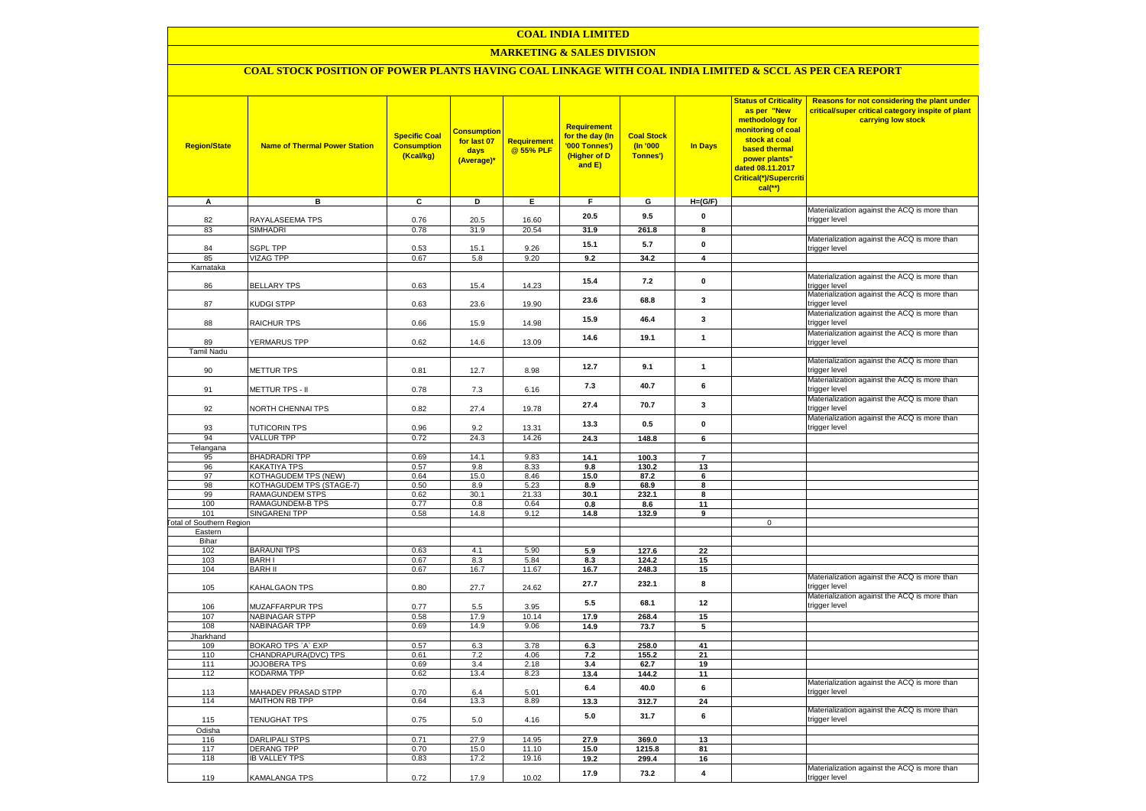### **MARKETING & SALES DIVISION**

# **COAL STOCK POSITION OF POWER PLANTS HAVING COAL LINKAGE WITH COAL INDIA LIMITED & SCCL AS PER CEA REPORT**

| <b>Region/State</b>             | <b>Name of Thermal Power Station</b>               | <b>Specific Coal</b><br><b>Consumption</b><br>(Kcal/kg) | <b>Consumption</b><br>for last 07<br>days<br>(Average)* | <b>Requirement</b><br>@ 55% PLF | <b>Requirement</b><br>for the day (In<br>'000 Tonnes')<br>(Higher of D<br>and E) | <b>Coal Stock</b><br>$($ ln '000<br>Tonnes') | In Days                 | <b>Status of Criticality</b><br>as per "New<br>methodology for<br>monitoring of coal<br>stock at coal<br>based thermal<br>power plants"<br>dated 08.11.2017<br>Critical(*)/Supercriti<br>$cal$ (**) | Reasons for not considering the plant under<br>critical/super critical category inspite of plant<br>carrying low stock |
|---------------------------------|----------------------------------------------------|---------------------------------------------------------|---------------------------------------------------------|---------------------------------|----------------------------------------------------------------------------------|----------------------------------------------|-------------------------|-----------------------------------------------------------------------------------------------------------------------------------------------------------------------------------------------------|------------------------------------------------------------------------------------------------------------------------|
| A                               | в                                                  | c                                                       | D                                                       | Е                               | F.                                                                               | G                                            | $H=(G/F)$               |                                                                                                                                                                                                     |                                                                                                                        |
| 82                              | RAYALASEEMA TPS                                    | 0.76                                                    | 20.5                                                    | 16.60                           | 20.5                                                                             | 9.5                                          | $\pmb{0}$               |                                                                                                                                                                                                     | Materialization against the ACQ is more than<br>trigger level                                                          |
| 83                              | SIMHADRI                                           | 0.78                                                    | 31.9                                                    | 20.54                           | 31.9                                                                             | 261.8                                        | 8                       |                                                                                                                                                                                                     |                                                                                                                        |
|                                 |                                                    |                                                         |                                                         |                                 |                                                                                  |                                              |                         |                                                                                                                                                                                                     | Materialization against the ACQ is more than                                                                           |
| 84                              | <b>SGPL TPP</b>                                    | 0.53                                                    | 15.1                                                    | 9.26                            | 15.1                                                                             | 5.7                                          | $\pmb{0}$               |                                                                                                                                                                                                     | trigger level                                                                                                          |
| 85                              | <b>VIZAG TPP</b>                                   | 0.67                                                    | 5.8                                                     | 9.20                            | 9.2                                                                              | 34.2                                         | $\overline{\mathbf{4}}$ |                                                                                                                                                                                                     |                                                                                                                        |
| Karnataka                       |                                                    |                                                         |                                                         |                                 |                                                                                  |                                              |                         |                                                                                                                                                                                                     | Materialization against the ACQ is more than                                                                           |
| 86                              | <b>BELLARY TPS</b>                                 | 0.63                                                    | 15.4                                                    | 14.23                           | 15.4                                                                             | 7.2                                          | $\pmb{0}$               |                                                                                                                                                                                                     | trigger level                                                                                                          |
| 87                              | KUDGI STPP                                         | 0.63                                                    | 23.6                                                    | 19.90                           | 23.6                                                                             | 68.8                                         | 3                       |                                                                                                                                                                                                     | Materialization against the ACQ is more than<br>trigger level                                                          |
| 88                              | <b>RAICHUR TPS</b>                                 | 0.66                                                    | 15.9                                                    | 14.98                           | 15.9                                                                             | 46.4                                         | $\mathbf{3}$            |                                                                                                                                                                                                     | Materialization against the ACQ is more than<br>trigger level                                                          |
|                                 |                                                    |                                                         |                                                         |                                 | 14.6                                                                             | 19.1                                         | $\mathbf{1}$            |                                                                                                                                                                                                     | Materialization against the ACQ is more than                                                                           |
| 89<br><b>Tamil Nadu</b>         | <b>YERMARUS TPP</b>                                | 0.62                                                    | 14.6                                                    | 13.09                           |                                                                                  |                                              |                         |                                                                                                                                                                                                     | trigger level                                                                                                          |
|                                 |                                                    |                                                         |                                                         |                                 | 12.7                                                                             | 9.1                                          | $\mathbf{1}$            |                                                                                                                                                                                                     | Materialization against the ACQ is more than                                                                           |
| 90                              | <b>METTUR TPS</b>                                  | 0.81                                                    | 12.7                                                    | 8.98                            |                                                                                  |                                              |                         |                                                                                                                                                                                                     | trigger level                                                                                                          |
| 91                              | METTUR TPS - II                                    | 0.78                                                    | 7.3                                                     | 6.16                            | 7.3                                                                              | 40.7                                         | 6                       |                                                                                                                                                                                                     | Materialization against the ACQ is more than<br>trigger level                                                          |
| 92                              | <b>VORTH CHENNAI TPS</b>                           | 0.82                                                    | 27.4                                                    | 19.78                           | 27.4                                                                             | 70.7                                         | 3                       |                                                                                                                                                                                                     | Materialization against the ACQ is more than<br>trigger level                                                          |
| 93                              | <b>TUTICORIN TPS</b>                               | 0.96                                                    | 9.2                                                     | 13.31                           | 13.3                                                                             | 0.5                                          | $\mathbf 0$             |                                                                                                                                                                                                     | Materialization against the ACQ is more than<br>trigger level                                                          |
| 94                              | <b>VALLUR TPP</b>                                  | 0.72                                                    | 24.3                                                    | 14.26                           | 24.3                                                                             | 148.8                                        | $6\overline{6}$         |                                                                                                                                                                                                     |                                                                                                                        |
| Telangana                       |                                                    |                                                         |                                                         |                                 |                                                                                  |                                              |                         |                                                                                                                                                                                                     |                                                                                                                        |
| 95                              | <b>BHADRADRI TPP</b>                               | 0.69                                                    | 14.1                                                    | 9.83                            | 14.1                                                                             | 100.3                                        | $\overline{7}$          |                                                                                                                                                                                                     |                                                                                                                        |
| 96                              | KAKATIYA TPS                                       | 0.57                                                    | 9.8                                                     | 8.33                            | 9.8                                                                              | 130.2                                        | 13                      |                                                                                                                                                                                                     |                                                                                                                        |
| 97                              | KOTHAGUDEM TPS (NEW)                               | 0.64                                                    | 15.0                                                    | 8.46                            | 15.0                                                                             | 87.2                                         | 6                       |                                                                                                                                                                                                     |                                                                                                                        |
| 98<br>99                        | KOTHAGUDEM TPS (STAGE-7)<br><b>RAMAGUNDEM STPS</b> | 0.50<br>0.62                                            | 8.9<br>30.1                                             | 5.23<br>21.33                   | 8.9<br>30.1                                                                      | 68.9<br>232.1                                | 8<br>8                  |                                                                                                                                                                                                     |                                                                                                                        |
| 100                             | <b>RAMAGUNDEM-B TPS</b>                            | 0.77                                                    | 0.8                                                     | 0.64                            | 0.8                                                                              | 8.6                                          | 11                      |                                                                                                                                                                                                     |                                                                                                                        |
| 101                             | <b>SINGARENI TPP</b>                               | 0.58                                                    | 14.8                                                    | 9.12                            | 14.8                                                                             | 132.9                                        | 9                       |                                                                                                                                                                                                     |                                                                                                                        |
| <b>Fotal of Southern Region</b> |                                                    |                                                         |                                                         |                                 |                                                                                  |                                              |                         | $\mathbf 0$                                                                                                                                                                                         |                                                                                                                        |
| Eastern                         |                                                    |                                                         |                                                         |                                 |                                                                                  |                                              |                         |                                                                                                                                                                                                     |                                                                                                                        |
| Bihar<br>102                    | <b>BARAUNI TPS</b>                                 | 0.63                                                    | 4.1                                                     | 5.90                            | 5.9                                                                              | 127.6                                        | 22                      |                                                                                                                                                                                                     |                                                                                                                        |
| 103                             | <b>BARHI</b>                                       | 0.67                                                    | 8.3                                                     | 5.84                            | 8.3                                                                              | 124.2                                        | 15                      |                                                                                                                                                                                                     |                                                                                                                        |
| 104                             | <b>BARH II</b>                                     | 0.67                                                    | 16.7                                                    | 11.67                           | 16.7                                                                             | 248.3                                        | 15                      |                                                                                                                                                                                                     |                                                                                                                        |
| 105                             | KAHALGAON TPS                                      | 0.80                                                    | 27.7                                                    | 24.62                           | 27.7                                                                             | 232.1                                        | 8                       |                                                                                                                                                                                                     | Materialization against the ACQ is more than<br>trigger level                                                          |
| 106                             | MUZAFFARPUR TPS                                    | 0.77                                                    | 5.5                                                     | 3.95                            | 5.5                                                                              | 68.1                                         | 12                      |                                                                                                                                                                                                     | Materialization against the ACQ is more than<br>trigger level                                                          |
| 107                             | <b>NABINAGAR STPP</b>                              | 0.58                                                    | 17.9                                                    | 10.14                           | 17.9                                                                             | 268.4                                        | 15                      |                                                                                                                                                                                                     |                                                                                                                        |
| 108                             | <b>NABINAGAR TPP</b>                               | 0.69                                                    | 14.9                                                    | 9.06                            | 14.9                                                                             | 73.7                                         | 5                       |                                                                                                                                                                                                     |                                                                                                                        |
| Jharkhand                       | BOKARO TPS `A` EXP                                 | 0.57                                                    | 6.3                                                     | 3.78                            | 6.3                                                                              | 258.0                                        | 41                      |                                                                                                                                                                                                     |                                                                                                                        |
| 109<br>110                      | CHANDRAPURA(DVC) TPS                               | 0.61                                                    | 7.2                                                     | 4.06                            | 7.2                                                                              | 155.2                                        | 21                      |                                                                                                                                                                                                     |                                                                                                                        |
| 111                             | JOJOBERA TPS                                       | 0.69                                                    | 3.4                                                     | 2.18                            | 3.4                                                                              | 62.7                                         | 19                      |                                                                                                                                                                                                     |                                                                                                                        |
| 112                             | KODARMA TPP                                        | 0.62                                                    | 13.4                                                    | 8.23                            | 13.4                                                                             | 144.2                                        | 11                      |                                                                                                                                                                                                     |                                                                                                                        |
| 113                             | <b>MAHADEV PRASAD STPP</b>                         | 0.70                                                    | 6.4                                                     | 5.01                            | $6.4\,$                                                                          | 40.0                                         | 6                       |                                                                                                                                                                                                     | Materialization against the ACQ is more than<br>trigger level                                                          |
| 114                             | <b>MAITHON RB TPP</b>                              | 0.64                                                    | 13.3                                                    | 8.89                            | 13.3                                                                             | 312.7                                        | 24                      |                                                                                                                                                                                                     |                                                                                                                        |
| 115                             | TENUGHAT TPS                                       | 0.75                                                    | 5.0                                                     | 4.16                            | 5.0                                                                              | 31.7                                         | 6                       |                                                                                                                                                                                                     | Materialization against the ACQ is more than<br>trigger level                                                          |
| Odisha                          |                                                    |                                                         |                                                         |                                 |                                                                                  |                                              |                         |                                                                                                                                                                                                     |                                                                                                                        |
| 116                             | <b>DARLIPALI STPS</b>                              | 0.71                                                    | 27.9                                                    | 14.95                           | 27.9                                                                             | 369.0                                        | 13                      |                                                                                                                                                                                                     |                                                                                                                        |
| 117<br>118                      | <b>DERANG TPP</b>                                  | 0.70                                                    | 15.0<br>17.2                                            | 11.10<br>19.16                  | 15.0                                                                             | 1215.8                                       | 81                      |                                                                                                                                                                                                     |                                                                                                                        |
|                                 | <b>IB VALLEY TPS</b>                               | 0.83                                                    |                                                         |                                 | 19.2                                                                             | 299.4                                        | 16                      |                                                                                                                                                                                                     | Materialization against the ACQ is more than                                                                           |
| 119                             | KAMALANGA TPS                                      | 0.72                                                    | 17.9                                                    | 10.02                           | 17.9                                                                             | 73.2                                         | $\overline{\mathbf{4}}$ |                                                                                                                                                                                                     | trigger level                                                                                                          |